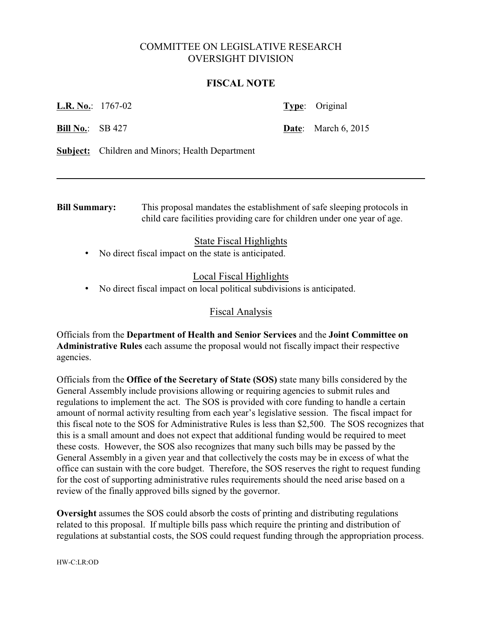# COMMITTEE ON LEGISLATIVE RESEARCH OVERSIGHT DIVISION

#### **FISCAL NOTE**

**L.R. No.**: 1767-02 **Type**: Original

**Bill No.**: SB 427 **Date**: March 6, 2015

**Subject:** Children and Minors; Health Department

**Bill Summary:** This proposal mandates the establishment of safe sleeping protocols in child care facilities providing care for children under one year of age.

### State Fiscal Highlights

• No direct fiscal impact on the state is anticipated.

# Local Fiscal Highlights

• No direct fiscal impact on local political subdivisions is anticipated.

### Fiscal Analysis

Officials from the **Department of Health and Senior Services** and the **Joint Committee on Administrative Rules** each assume the proposal would not fiscally impact their respective agencies.

Officials from the **Office of the Secretary of State (SOS)** state many bills considered by the General Assembly include provisions allowing or requiring agencies to submit rules and regulations to implement the act. The SOS is provided with core funding to handle a certain amount of normal activity resulting from each year's legislative session. The fiscal impact for this fiscal note to the SOS for Administrative Rules is less than \$2,500. The SOS recognizes that this is a small amount and does not expect that additional funding would be required to meet these costs. However, the SOS also recognizes that many such bills may be passed by the General Assembly in a given year and that collectively the costs may be in excess of what the office can sustain with the core budget. Therefore, the SOS reserves the right to request funding for the cost of supporting administrative rules requirements should the need arise based on a review of the finally approved bills signed by the governor.

**Oversight** assumes the SOS could absorb the costs of printing and distributing regulations related to this proposal. If multiple bills pass which require the printing and distribution of regulations at substantial costs, the SOS could request funding through the appropriation process.